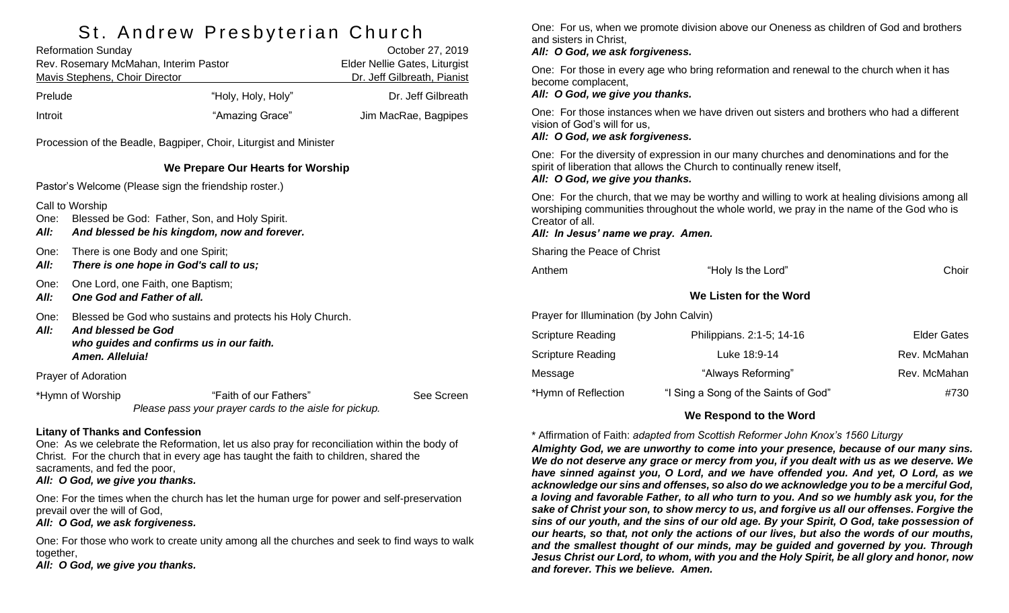# St. Andrew Presbyterian Church

| <b>Reformation Sunday</b>             |                    | October 27, 2019              |  |
|---------------------------------------|--------------------|-------------------------------|--|
| Rev. Rosemary McMahan, Interim Pastor |                    | Elder Nellie Gates, Liturgist |  |
| Mavis Stephens, Choir Director        |                    | Dr. Jeff Gilbreath, Pianist   |  |
| Prelude                               | "Holy, Holy, Holy" | Dr. Jeff Gilbreath            |  |
| Introit                               | "Amazing Grace"    | Jim MacRae, Bagpipes          |  |

Procession of the Beadle, Bagpiper, Choir, Liturgist and Minister

### **We Prepare Our Hearts for Worship**

Pastor's Welcome (Please sign the friendship roster.)

Call to Worship

- One: Blessed be God: Father, Son, and Holy Spirit.
- *All: And blessed be his kingdom, now and forever.*
- One: There is one Body and one Spirit;
- *All: There is one hope in God's call to us;*
- One: One Lord, one Faith, one Baptism;
- *All: One God and Father of all.*
- One: Blessed be God who sustains and protects his Holy Church.
- *All: And blessed be God who guides and confirms us in our faith. Amen. Alleluia!*

Prayer of Adoration

\*Hymn of Worship "Faith of our Fathers" See Screen *Please pass your prayer cards to the aisle for pickup.*

### **Litany of Thanks and Confession**

One: As we celebrate the Reformation, let us also pray for reconciliation within the body of Christ. For the church that in every age has taught the faith to children, shared the sacraments, and fed the poor,

## *All: O God, we give you thanks.*

One: For the times when the church has let the human urge for power and self-preservation prevail over the will of God,

*All: O God, we ask forgiveness.*

One: For those who work to create unity among all the churches and seek to find ways to walk together.

*All: O God, we give you thanks.*

One: For us, when we promote division above our Oneness as children of God and brothers and sisters in Christ,

#### *All: O God, we ask forgiveness.*

One: For those in every age who bring reformation and renewal to the church when it has become complacent,

#### *All: O God, we give you thanks.*

One: For those instances when we have driven out sisters and brothers who had a different vision of God's will for us,

#### *All: O God, we ask forgiveness.*

One: For the diversity of expression in our many churches and denominations and for the spirit of liberation that allows the Church to continually renew itself, *All: O God, we give you thanks.*

One: For the church, that we may be worthy and willing to work at healing divisions among all worshiping communities throughout the whole world, we pray in the name of the God who is Creator of all.

#### *All: In Jesus' name we pray. Amen.*

Sharing the Peace of Christ

| "Holy Is the Lord"        | Choir                                    |
|---------------------------|------------------------------------------|
| We Listen for the Word    |                                          |
|                           |                                          |
| Philippians. 2:1-5; 14-16 | <b>Elder Gates</b>                       |
| Luke 18:9-14              | Rev. McMahan                             |
| "Always Reforming"        | Rev. McMahan                             |
|                           | Prayer for Illumination (by John Calvin) |

### **We Respond to the Word**

\*Hymn of Reflection "I Sing a Song of the Saints of God"  $\#730$ 

\* Affirmation of Faith: *adapted from Scottish Reformer John Knox's 1560 Liturgy*

*Almighty God, we are unworthy to come into your presence, because of our many sins. We do not deserve any grace or mercy from you, if you dealt with us as we deserve. We have sinned against you, O Lord, and we have offended you. And yet, O Lord, as we acknowledge our sins and offenses, so also do we acknowledge you to be a merciful God, a loving and favorable Father, to all who turn to you. And so we humbly ask you, for the sake of Christ your son, to show mercy to us, and forgive us all our offenses. Forgive the sins of our youth, and the sins of our old age. By your Spirit, O God, take possession of our hearts, so that, not only the actions of our lives, but also the words of our mouths, and the smallest thought of our minds, may be guided and governed by you. Through Jesus Christ our Lord, to whom, with you and the Holy Spirit, be all glory and honor, now and forever. This we believe. Amen.*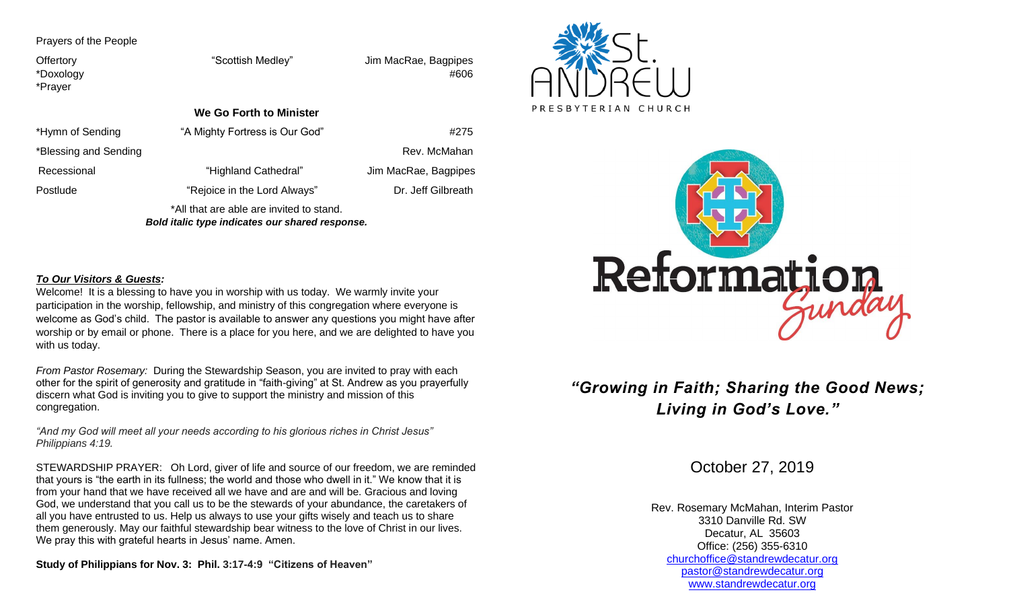Prayers of the People

Offertory "Scottish Medley" Jim MacRae, Bagpipes \*Doxology #606 \*Prayer **We Go Forth to Minister** \*Hymn of Sending "A Mighty Fortress is Our God"  $\#275$ \*Blessing and Sending Rev. McMahan Rev. McMahan Rev. McMahan Rev. Rev. McMahan Recessional "Highland Cathedral" Jim MacRae, Bagpipes Postlude "Rejoice in the Lord Always" Dr. Jeff Gilbreath \*All that are able are invited to stand.

*Bold italic type indicates our shared response.*

#### *To Our Visitors & Guests:*

Welcome! It is a blessing to have you in worship with us today. We warmly invite your participation in the worship, fellowship, and ministry of this congregation where everyone is welcome as God's child. The pastor is available to answer any questions you might have after worship or by email or phone. There is a place for you here, and we are delighted to have you with us today.

*From Pastor Rosemary:* During the Stewardship Season, you are invited to pray with each other for the spirit of generosity and gratitude in "faith-giving" at St. Andrew as you prayerfully discern what God is inviting you to give to support the ministry and mission of this congregation.

*"And my God will meet all your needs according to his glorious riches in Christ Jesus" Philippians 4:19.*

STEWARDSHIP PRAYER: Oh Lord, giver of life and source of our freedom, we are reminded that yours is "the earth in its fullness; the world and those who dwell in it." We know that it is from your hand that we have received all we have and are and will be. Gracious and loving God, we understand that you call us to be the stewards of your abundance, the caretakers of all you have entrusted to us. Help us always to use your gifts wisely and teach us to share them generously. May our faithful stewardship bear witness to the love of Christ in our lives. We pray this with grateful hearts in Jesus' name. Amen.

**Study of Philippians for Nov. 3: Phil. 3:17-4:9 "Citizens of Heaven"**





## *"Growing in Faith; Sharing the Good News; Living in God's Love."*

October 27, 2019

Rev. Rosemary McMahan, Interim Pastor 3310 Danville Rd. SW Decatur, AL 35603 Office: (256) 355-6310 [churchoffice@standrewdecatur.org](mailto:churchoffice@standrewdecatur.org) pastor@standrewdecatur.org [www.standrewdecatur.org](http://www.standrewdecatur.org/)